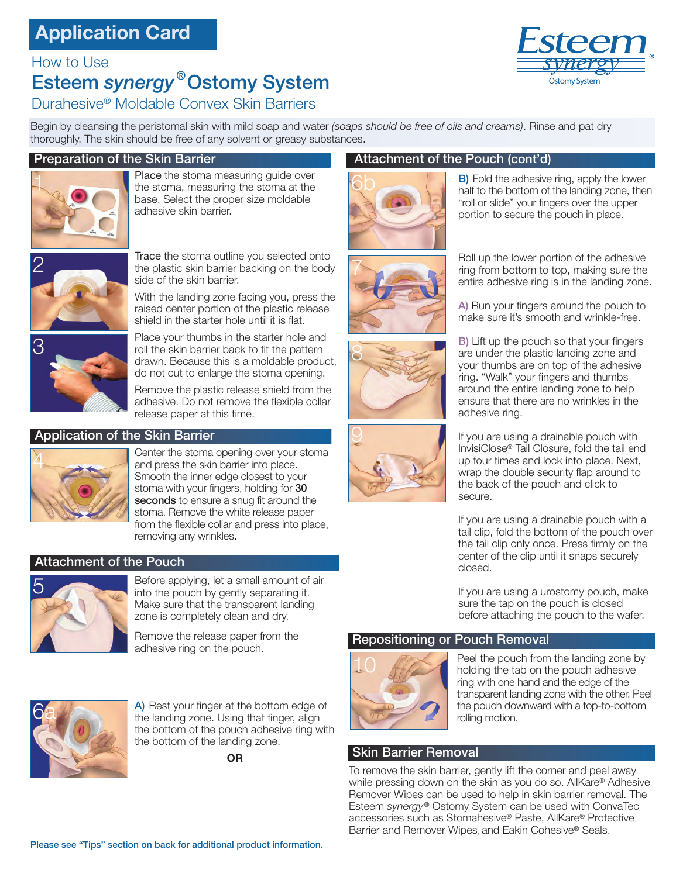## **Application Card**

#### How to Use

# Esteem *synergy* ®Ostomy System



#### Durahesive® Moldable Convex Skin Barriers

Begin by cleansing the peristomal skin with mild soap and water *(soaps should be free of oils and creams)*. Rinse and pat dry thoroughly. The skin should be free of any solvent or greasy substances.

#### Preparation of the Skin Barrier



Place the stoma measuring quide over the stoma, measuring the stoma at the base. Select the proper size moldable adhesive skin barrier.



Trace the stoma outline you selected onto the plastic skin barrier backing on the body side of the skin barrier.

With the landing zone facing you, press the raised center portion of the plastic release shield in the starter hole until it is flat.



Place your thumbs in the starter hole and roll the skin barrier back to fit the pattern 8 3 drawn. Because this is a moldable product, do not cut to enlarge the stoma opening.

> Remove the plastic release shield from the adhesive. Do not remove the flexible collar release paper at this time.

#### Application of the Skin Barrier



Center the stoma opening over your stoma and press the skin barrier into place. Smooth the inner edge closest to your stoma with your fingers, holding for 30 seconds to ensure a snug fit around the stoma. Remove the white release paper from the flexible collar and press into place, removing any wrinkles.

#### Attachment of the Pouch



Before applying, let a small amount of air into the pouch by gently separating it. Make sure that the transparent landing zone is completely clean and dry.

Remove the release paper from the adhesive ring on the pouch.



A) Rest your finger at the bottom edge of the landing zone. Using that finger, align the bottom of the pouch adhesive ring with the bottom of the landing zone.

**OR**

#### Attachment of the Pouch (cont'd)



**B)** Fold the adhesive ring, apply the lower half to the bottom of the landing zone, then "roll or slide" your fingers over the upper portion to secure the pouch in place.







Roll up the lower portion of the adhesive ring from bottom to top, making sure the entire adhesive ring is in the landing zone.

A) Run your fingers around the pouch to make sure it's smooth and wrinkle-free.

B) Lift up the pouch so that your fingers are under the plastic landing zone and your thumbs are on top of the adhesive ring. "Walk" your fingers and thumbs around the entire landing zone to help ensure that there are no wrinkles in the adhesive ring.

If you are using a drainable pouch with InvisiClose® Tail Closure, fold the tail end up four times and lock into place. Next, wrap the double security flap around to the back of the pouch and click to secure.

If you are using a drainable pouch with a tail clip, fold the bottom of the pouch over the tail clip only once. Press firmly on the center of the clip until it snaps securely closed.

If you are using a urostomy pouch, make sure the tap on the pouch is closed before attaching the pouch to the wafer.

#### Repositioning or Pouch Removal



Peel the pouch from the landing zone by holding the tab on the pouch adhesive ring with one hand and the edge of the transparent landing zone with the other. Peel the pouch downward with a top-to-bottom rolling motion.

#### Skin Barrier Removal

To remove the skin barrier, gently lift the corner and peel away while pressing down on the skin as you do so. AllKare® Adhesive Remover Wipes can be used to help in skin barrier removal. The Esteem *synergy* ® Ostomy System can be used with ConvaTec accessories such as Stomahesive® Paste, AllKare® Protective Barrier and Remover Wipes,and Eakin Cohesive® Seals.